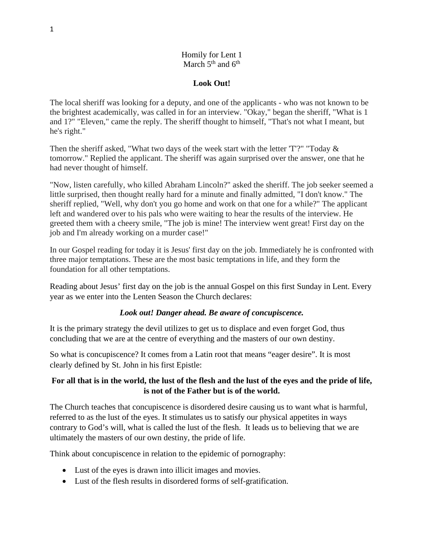## Homily for Lent 1 March  $5<sup>th</sup>$  and  $6<sup>th</sup>$

## **Look Out!**

The local sheriff was looking for a deputy, and one of the applicants - who was not known to be the brightest academically, was called in for an interview. "Okay," began the sheriff, "What is 1 and 1?" "Eleven," came the reply. The sheriff thought to himself, "That's not what I meant, but he's right."

Then the sheriff asked, "What two days of the week start with the letter 'T'?" "Today & tomorrow." Replied the applicant. The sheriff was again surprised over the answer, one that he had never thought of himself.

"Now, listen carefully, who killed Abraham Lincoln?" asked the sheriff. The job seeker seemed a little surprised, then thought really hard for a minute and finally admitted, "I don't know." The sheriff replied, "Well, why don't you go home and work on that one for a while?" The applicant left and wandered over to his pals who were waiting to hear the results of the interview. He greeted them with a cheery smile, "The job is mine! The interview went great! First day on the job and I'm already working on a murder case!"

In our Gospel reading for today it is Jesus' first day on the job. Immediately he is confronted with three major temptations. These are the most basic temptations in life, and they form the foundation for all other temptations.

Reading about Jesus' first day on the job is the annual Gospel on this first Sunday in Lent. Every year as we enter into the Lenten Season the Church declares:

## *Look out! Danger ahead. Be aware of concupiscence.*

It is the primary strategy the devil utilizes to get us to displace and even forget God, thus concluding that we are at the centre of everything and the masters of our own destiny.

So what is concupiscence? It comes from a Latin root that means "eager desire". It is most clearly defined by St. John in his first Epistle:

# **For all that is in the world, the lust of the flesh and the lust of the eyes and the pride of life, is not of the Father but is of the world.**

The Church teaches that concupiscence is disordered desire causing us to want what is harmful, referred to as the lust of the eyes. It stimulates us to satisfy our physical appetites in ways contrary to God's will, what is called the lust of the flesh. It leads us to believing that we are ultimately the masters of our own destiny, the pride of life.

Think about concupiscence in relation to the epidemic of pornography:

- Lust of the eyes is drawn into illicit images and movies.
- Lust of the flesh results in disordered forms of self-gratification.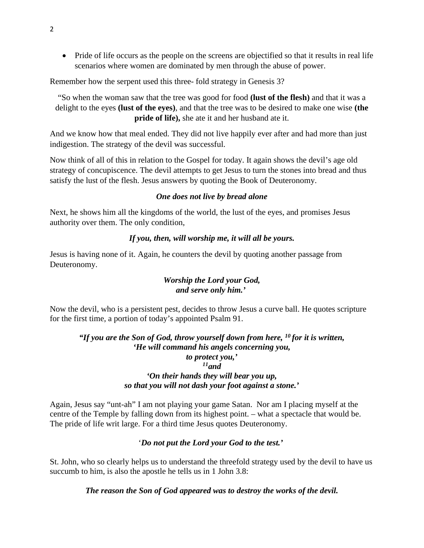• Pride of life occurs as the people on the screens are objectified so that it results in real life scenarios where women are dominated by men through the abuse of power.

Remember how the serpent used this three- fold strategy in Genesis 3?

"So when the woman saw that the tree was good for food **(lust of the flesh)** and that it was a delight to the eyes **(lust of the eyes)**, and that the tree was to be desired to make one wise **(the pride of life),** she ate it and her husband ate it.

And we know how that meal ended. They did not live happily ever after and had more than just indigestion. The strategy of the devil was successful.

Now think of all of this in relation to the Gospel for today. It again shows the devil's age old strategy of concupiscence. The devil attempts to get Jesus to turn the stones into bread and thus satisfy the lust of the flesh. Jesus answers by quoting the Book of Deuteronomy.

#### *One does not live by bread alone*

Next, he shows him all the kingdoms of the world, the lust of the eyes, and promises Jesus authority over them. The only condition,

#### *If you, then, will worship me, it will all be yours.*

Jesus is having none of it. Again, he counters the devil by quoting another passage from Deuteronomy.

## *Worship the Lord your God, and serve only him.'*

Now the devil, who is a persistent pest, decides to throw Jesus a curve ball. He quotes scripture for the first time, a portion of today's appointed Psalm 91.

### *"If you are the Son of God, throw yourself down from here, 10 for it is written, 'He will command his angels concerning you, to protect you,' 11and 'On their hands they will bear you up, so that you will not dash your foot against a stone.'*

Again, Jesus say "unt-ah" I am not playing your game Satan. Nor am I placing myself at the centre of the Temple by falling down from its highest point. – what a spectacle that would be. The pride of life writ large. For a third time Jesus quotes Deuteronomy.

### '*Do not put the Lord your God to the test.'*

St. John, who so clearly helps us to understand the threefold strategy used by the devil to have us succumb to him, is also the apostle he tells us in 1 John 3.8:

*The reason the Son of God appeared was to destroy the works of the devil.*